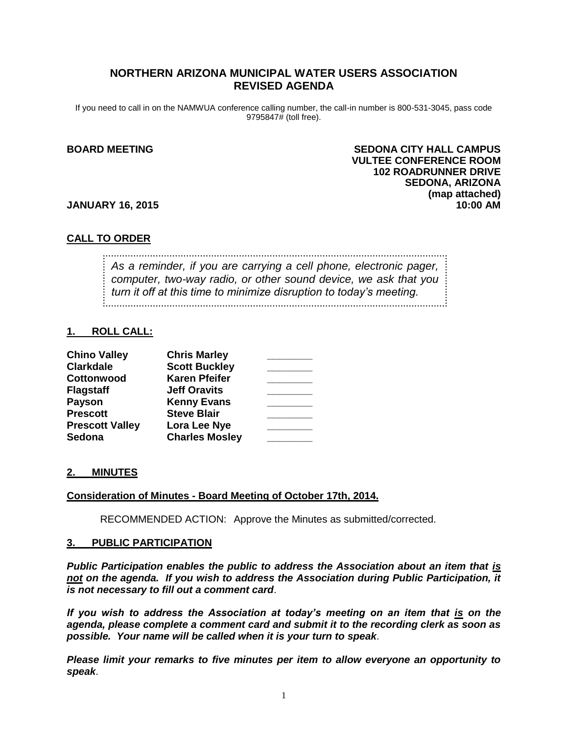# **NORTHERN ARIZONA MUNICIPAL WATER USERS ASSOCIATION REVISED AGENDA**

If you need to call in on the NAMWUA conference calling number, the call-in number is 800-531-3045, pass code 9795847# (toll free).

# **BOARD MEETING SEDONA CITY HALL CAMPUS VULTEE CONFERENCE ROOM 102 ROADRUNNER DRIVE SEDONA, ARIZONA (map attached)**

#### **JANUARY 16, 2015 10:00 AM**

#### **CALL TO ORDER**

*As a reminder, if you are carrying a cell phone, electronic pager, computer, two-way radio, or other sound device, we ask that you turn it off at this time to minimize disruption to today's meeting.*

#### **1. ROLL CALL:**

| <b>Chino Valley</b>    | <b>Chris Marley</b>   |  |
|------------------------|-----------------------|--|
| <b>Clarkdale</b>       | <b>Scott Buckley</b>  |  |
| Cottonwood             | <b>Karen Pfeifer</b>  |  |
| <b>Flagstaff</b>       | <b>Jeff Oravits</b>   |  |
| <b>Payson</b>          | <b>Kenny Evans</b>    |  |
| <b>Prescott</b>        | <b>Steve Blair</b>    |  |
| <b>Prescott Valley</b> | Lora Lee Nye          |  |
| Sedona                 | <b>Charles Mosley</b> |  |

#### **2. MINUTES**

#### **Consideration of Minutes - Board Meeting of October 17th, 2014.**

RECOMMENDED ACTION: Approve the Minutes as submitted/corrected.

#### **3. PUBLIC PARTICIPATION**

*Public Participation enables the public to address the Association about an item that is not on the agenda. If you wish to address the Association during Public Participation, it is not necessary to fill out a comment card*.

*If you wish to address the Association at today's meeting on an item that is on the agenda, please complete a comment card and submit it to the recording clerk as soon as possible. Your name will be called when it is your turn to speak*.

*Please limit your remarks to five minutes per item to allow everyone an opportunity to speak*.